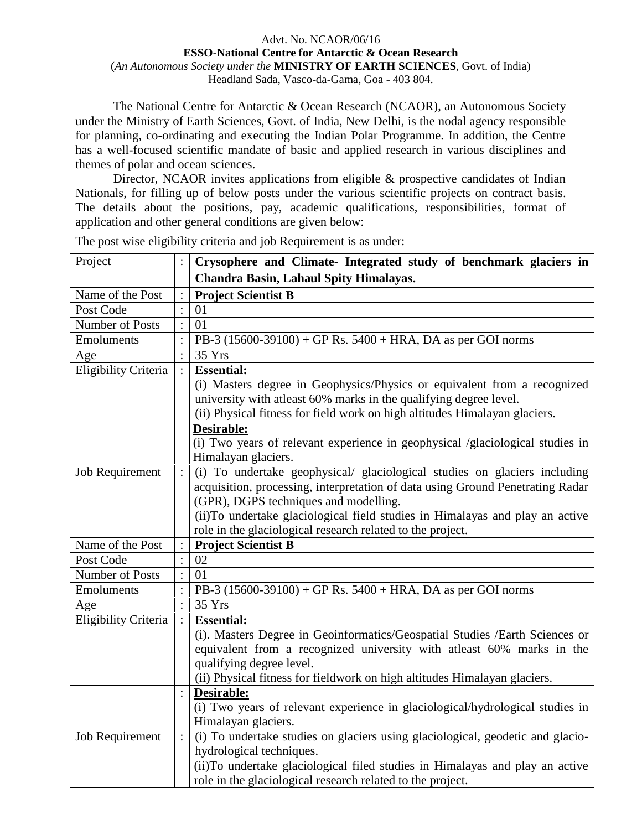### Advt. No. NCAOR/06/16 **ESSO-National Centre for Antarctic & Ocean Research** (*An Autonomous Society under the* **MINISTRY OF EARTH SCIENCES**, Govt. of India) Headland Sada, Vasco-da-Gama, Goa - 403 804.

The National Centre for Antarctic & Ocean Research (NCAOR), an Autonomous Society under the Ministry of Earth Sciences, Govt. of India, New Delhi, is the nodal agency responsible for planning, co-ordinating and executing the Indian Polar Programme. In addition, the Centre has a well-focused scientific mandate of basic and applied research in various disciplines and themes of polar and ocean sciences.

Director, NCAOR invites applications from eligible & prospective candidates of Indian Nationals, for filling up of below posts under the various scientific projects on contract basis. The details about the positions, pay, academic qualifications, responsibilities, format of application and other general conditions are given below:

| Project              |                | Crysophere and Climate- Integrated study of benchmark glaciers in              |
|----------------------|----------------|--------------------------------------------------------------------------------|
|                      |                | Chandra Basin, Lahaul Spity Himalayas.                                         |
| Name of the Post     |                | <b>Project Scientist B</b>                                                     |
| Post Code            | $\ddot{\cdot}$ | 01                                                                             |
| Number of Posts      | $\ddot{\cdot}$ | 01                                                                             |
| Emoluments           |                | PB-3 $(15600-39100) + GP$ Rs. $5400 + HRA$ , DA as per GOI norms               |
| Age                  | $\vdots$       | 35 Yrs                                                                         |
| Eligibility Criteria |                | <b>Essential:</b>                                                              |
|                      |                | (i) Masters degree in Geophysics/Physics or equivalent from a recognized       |
|                      |                | university with at least 60% marks in the qualifying degree level.             |
|                      |                | (ii) Physical fitness for field work on high altitudes Himalayan glaciers.     |
|                      |                | Desirable:                                                                     |
|                      |                | (i) Two years of relevant experience in geophysical /glaciological studies in  |
|                      |                | Himalayan glaciers.                                                            |
| Job Requirement      | $\ddot{\cdot}$ | (i) To undertake geophysical/ glaciological studies on glaciers including      |
|                      |                | acquisition, processing, interpretation of data using Ground Penetrating Radar |
|                      |                | (GPR), DGPS techniques and modelling.                                          |
|                      |                | (ii)To undertake glaciological field studies in Himalayas and play an active   |
|                      |                | role in the glaciological research related to the project.                     |
| Name of the Post     |                | <b>Project Scientist B</b>                                                     |
| Post Code            | $\ddot{\cdot}$ | 02                                                                             |
| Number of Posts      | $\ddot{\cdot}$ | 01                                                                             |
| Emoluments           |                | PB-3 (15600-39100) + GP Rs. 5400 + HRA, DA as per GOI norms                    |
| Age                  | $\ddot{\cdot}$ | 35 Yrs                                                                         |
| Eligibility Criteria |                | <b>Essential:</b>                                                              |
|                      |                | (i). Masters Degree in Geoinformatics/Geospatial Studies /Earth Sciences or    |
|                      |                | equivalent from a recognized university with atleast 60% marks in the          |
|                      |                | qualifying degree level.                                                       |
|                      |                | (ii) Physical fitness for fieldwork on high altitudes Himalayan glaciers.      |
|                      |                | Desirable:                                                                     |
|                      |                | (i) Two years of relevant experience in glaciological/hydrological studies in  |
|                      |                | Himalayan glaciers.                                                            |
| Job Requirement      | $\vdots$       | (i) To undertake studies on glaciers using glaciological, geodetic and glacio- |
|                      |                | hydrological techniques.                                                       |
|                      |                | (ii) To undertake glaciological filed studies in Himalayas and play an active  |
|                      |                |                                                                                |

The post wise eligibility criteria and job Requirement is as under: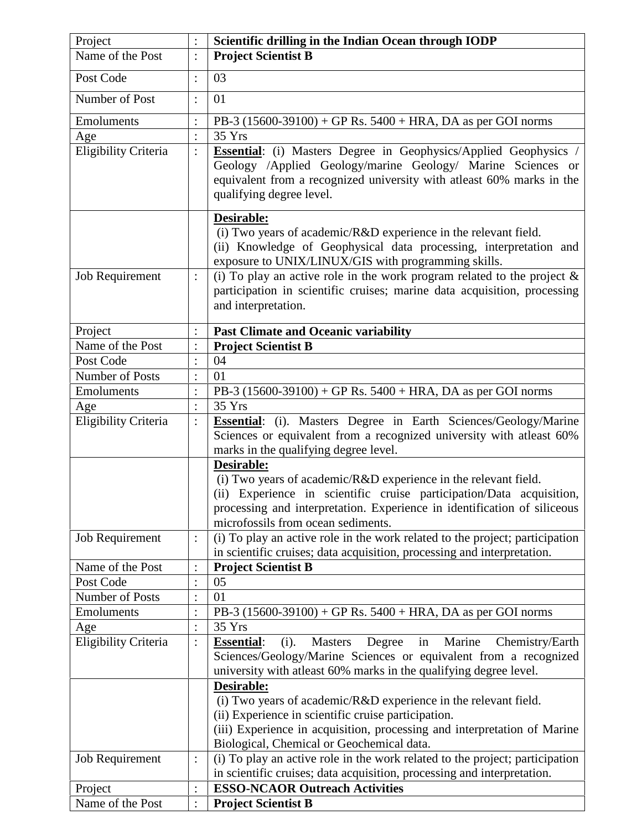| <b>Project Scientist B</b><br>$\vdots$<br>03<br>$\vdots$<br>Number of Post<br>01<br>$\ddot{\cdot}$<br>Emoluments<br>PB-3 $(15600-39100) + GP$ Rs. $5400 + HRA$ , DA as per GOI norms<br>$\colon$<br>$\vdots$<br>35 Yrs<br>Eligibility Criteria<br><b>Essential:</b> (i) Masters Degree in Geophysics/Applied Geophysics<br>$\vdots$<br>qualifying degree level.<br>Desirable:<br>(i) Two years of academic/ $R&D$ experience in the relevant field.<br>exposure to UNIX/LINUX/GIS with programming skills.<br>(i) To play an active role in the work program related to the project $\&$<br>Job Requirement<br>$\ddot{\cdot}$<br>and interpretation.<br><b>Past Climate and Oceanic variability</b><br>$\colon$<br><b>Project Scientist B</b><br>$\ddot{\cdot}$<br>04<br>$\ddot{\cdot}$<br>01<br>$\ddot{\cdot}$<br>PB-3 $(15600-39100) + GP$ Rs. $5400 + HRA$ , DA as per GOI norms<br>$\ddot{\cdot}$<br>35 Yrs<br>$\ddot{\cdot}$<br>$\ddot{\cdot}$<br>marks in the qualifying degree level.<br>Desirable:<br>(i) Two years of academic/R&D experience in the relevant field.<br>microfossils from ocean sediments.<br>(i) To play an active role in the work related to the project; participation<br>Job Requirement<br>$\vdots$<br>in scientific cruises; data acquisition, processing and interpretation.<br><b>Project Scientist B</b><br>$\ddot{\cdot}$<br>05<br>$\colon$<br>01<br>$\colon$<br>PB-3 $(15600-39100) + GP$ Rs. $5400 + HRA$ , DA as per GOI norms<br>$\colon$<br>35 Yrs<br>$\vdots$<br>Marine<br>$\vdots$<br><b>Essential:</b><br>(i).<br><b>Masters</b><br>Degree<br>in<br>university with at least 60% marks in the qualifying degree level.<br>Desirable:<br>(i) Two years of academic/R&D experience in the relevant field.<br>(ii) Experience in scientific cruise participation.<br>(iii) Experience in acquisition, processing and interpretation of Marine<br>Biological, Chemical or Geochemical data.<br>(i) To play an active role in the work related to the project; participation<br>Job Requirement<br>$\colon$<br>in scientific cruises; data acquisition, processing and interpretation.<br><b>ESSO-NCAOR Outreach Activities</b><br>Project<br>$\ddot{\cdot}$<br>: | Project              | $\vdots$ | Scientific drilling in the Indian Ocean through IODP                                                                                             |
|----------------------------------------------------------------------------------------------------------------------------------------------------------------------------------------------------------------------------------------------------------------------------------------------------------------------------------------------------------------------------------------------------------------------------------------------------------------------------------------------------------------------------------------------------------------------------------------------------------------------------------------------------------------------------------------------------------------------------------------------------------------------------------------------------------------------------------------------------------------------------------------------------------------------------------------------------------------------------------------------------------------------------------------------------------------------------------------------------------------------------------------------------------------------------------------------------------------------------------------------------------------------------------------------------------------------------------------------------------------------------------------------------------------------------------------------------------------------------------------------------------------------------------------------------------------------------------------------------------------------------------------------------------------------------------------------------------------------------------------------------------------------------------------------------------------------------------------------------------------------------------------------------------------------------------------------------------------------------------------------------------------------------------------------------------------------------------------------------------------------------------------------------------------------------------------------------------|----------------------|----------|--------------------------------------------------------------------------------------------------------------------------------------------------|
|                                                                                                                                                                                                                                                                                                                                                                                                                                                                                                                                                                                                                                                                                                                                                                                                                                                                                                                                                                                                                                                                                                                                                                                                                                                                                                                                                                                                                                                                                                                                                                                                                                                                                                                                                                                                                                                                                                                                                                                                                                                                                                                                                                                                          | Name of the Post     |          |                                                                                                                                                  |
|                                                                                                                                                                                                                                                                                                                                                                                                                                                                                                                                                                                                                                                                                                                                                                                                                                                                                                                                                                                                                                                                                                                                                                                                                                                                                                                                                                                                                                                                                                                                                                                                                                                                                                                                                                                                                                                                                                                                                                                                                                                                                                                                                                                                          | Post Code            |          |                                                                                                                                                  |
|                                                                                                                                                                                                                                                                                                                                                                                                                                                                                                                                                                                                                                                                                                                                                                                                                                                                                                                                                                                                                                                                                                                                                                                                                                                                                                                                                                                                                                                                                                                                                                                                                                                                                                                                                                                                                                                                                                                                                                                                                                                                                                                                                                                                          |                      |          |                                                                                                                                                  |
|                                                                                                                                                                                                                                                                                                                                                                                                                                                                                                                                                                                                                                                                                                                                                                                                                                                                                                                                                                                                                                                                                                                                                                                                                                                                                                                                                                                                                                                                                                                                                                                                                                                                                                                                                                                                                                                                                                                                                                                                                                                                                                                                                                                                          |                      |          |                                                                                                                                                  |
|                                                                                                                                                                                                                                                                                                                                                                                                                                                                                                                                                                                                                                                                                                                                                                                                                                                                                                                                                                                                                                                                                                                                                                                                                                                                                                                                                                                                                                                                                                                                                                                                                                                                                                                                                                                                                                                                                                                                                                                                                                                                                                                                                                                                          |                      |          |                                                                                                                                                  |
|                                                                                                                                                                                                                                                                                                                                                                                                                                                                                                                                                                                                                                                                                                                                                                                                                                                                                                                                                                                                                                                                                                                                                                                                                                                                                                                                                                                                                                                                                                                                                                                                                                                                                                                                                                                                                                                                                                                                                                                                                                                                                                                                                                                                          | Age                  |          |                                                                                                                                                  |
|                                                                                                                                                                                                                                                                                                                                                                                                                                                                                                                                                                                                                                                                                                                                                                                                                                                                                                                                                                                                                                                                                                                                                                                                                                                                                                                                                                                                                                                                                                                                                                                                                                                                                                                                                                                                                                                                                                                                                                                                                                                                                                                                                                                                          |                      |          | Geology /Applied Geology/marine Geology/ Marine Sciences or<br>equivalent from a recognized university with atleast 60% marks in the             |
|                                                                                                                                                                                                                                                                                                                                                                                                                                                                                                                                                                                                                                                                                                                                                                                                                                                                                                                                                                                                                                                                                                                                                                                                                                                                                                                                                                                                                                                                                                                                                                                                                                                                                                                                                                                                                                                                                                                                                                                                                                                                                                                                                                                                          |                      |          |                                                                                                                                                  |
|                                                                                                                                                                                                                                                                                                                                                                                                                                                                                                                                                                                                                                                                                                                                                                                                                                                                                                                                                                                                                                                                                                                                                                                                                                                                                                                                                                                                                                                                                                                                                                                                                                                                                                                                                                                                                                                                                                                                                                                                                                                                                                                                                                                                          |                      |          | (ii) Knowledge of Geophysical data processing, interpretation and                                                                                |
|                                                                                                                                                                                                                                                                                                                                                                                                                                                                                                                                                                                                                                                                                                                                                                                                                                                                                                                                                                                                                                                                                                                                                                                                                                                                                                                                                                                                                                                                                                                                                                                                                                                                                                                                                                                                                                                                                                                                                                                                                                                                                                                                                                                                          |                      |          |                                                                                                                                                  |
|                                                                                                                                                                                                                                                                                                                                                                                                                                                                                                                                                                                                                                                                                                                                                                                                                                                                                                                                                                                                                                                                                                                                                                                                                                                                                                                                                                                                                                                                                                                                                                                                                                                                                                                                                                                                                                                                                                                                                                                                                                                                                                                                                                                                          |                      |          | participation in scientific cruises; marine data acquisition, processing                                                                         |
|                                                                                                                                                                                                                                                                                                                                                                                                                                                                                                                                                                                                                                                                                                                                                                                                                                                                                                                                                                                                                                                                                                                                                                                                                                                                                                                                                                                                                                                                                                                                                                                                                                                                                                                                                                                                                                                                                                                                                                                                                                                                                                                                                                                                          | Project              |          |                                                                                                                                                  |
|                                                                                                                                                                                                                                                                                                                                                                                                                                                                                                                                                                                                                                                                                                                                                                                                                                                                                                                                                                                                                                                                                                                                                                                                                                                                                                                                                                                                                                                                                                                                                                                                                                                                                                                                                                                                                                                                                                                                                                                                                                                                                                                                                                                                          | Name of the Post     |          |                                                                                                                                                  |
|                                                                                                                                                                                                                                                                                                                                                                                                                                                                                                                                                                                                                                                                                                                                                                                                                                                                                                                                                                                                                                                                                                                                                                                                                                                                                                                                                                                                                                                                                                                                                                                                                                                                                                                                                                                                                                                                                                                                                                                                                                                                                                                                                                                                          | Post Code            |          |                                                                                                                                                  |
|                                                                                                                                                                                                                                                                                                                                                                                                                                                                                                                                                                                                                                                                                                                                                                                                                                                                                                                                                                                                                                                                                                                                                                                                                                                                                                                                                                                                                                                                                                                                                                                                                                                                                                                                                                                                                                                                                                                                                                                                                                                                                                                                                                                                          | Number of Posts      |          |                                                                                                                                                  |
|                                                                                                                                                                                                                                                                                                                                                                                                                                                                                                                                                                                                                                                                                                                                                                                                                                                                                                                                                                                                                                                                                                                                                                                                                                                                                                                                                                                                                                                                                                                                                                                                                                                                                                                                                                                                                                                                                                                                                                                                                                                                                                                                                                                                          | Emoluments           |          |                                                                                                                                                  |
|                                                                                                                                                                                                                                                                                                                                                                                                                                                                                                                                                                                                                                                                                                                                                                                                                                                                                                                                                                                                                                                                                                                                                                                                                                                                                                                                                                                                                                                                                                                                                                                                                                                                                                                                                                                                                                                                                                                                                                                                                                                                                                                                                                                                          | Age                  |          |                                                                                                                                                  |
|                                                                                                                                                                                                                                                                                                                                                                                                                                                                                                                                                                                                                                                                                                                                                                                                                                                                                                                                                                                                                                                                                                                                                                                                                                                                                                                                                                                                                                                                                                                                                                                                                                                                                                                                                                                                                                                                                                                                                                                                                                                                                                                                                                                                          | Eligibility Criteria |          | Essential: (i). Masters Degree in Earth Sciences/Geology/Marine<br>Sciences or equivalent from a recognized university with atleast 60%          |
|                                                                                                                                                                                                                                                                                                                                                                                                                                                                                                                                                                                                                                                                                                                                                                                                                                                                                                                                                                                                                                                                                                                                                                                                                                                                                                                                                                                                                                                                                                                                                                                                                                                                                                                                                                                                                                                                                                                                                                                                                                                                                                                                                                                                          |                      |          | (ii) Experience in scientific cruise participation/Data acquisition,<br>processing and interpretation. Experience in identification of siliceous |
|                                                                                                                                                                                                                                                                                                                                                                                                                                                                                                                                                                                                                                                                                                                                                                                                                                                                                                                                                                                                                                                                                                                                                                                                                                                                                                                                                                                                                                                                                                                                                                                                                                                                                                                                                                                                                                                                                                                                                                                                                                                                                                                                                                                                          |                      |          |                                                                                                                                                  |
|                                                                                                                                                                                                                                                                                                                                                                                                                                                                                                                                                                                                                                                                                                                                                                                                                                                                                                                                                                                                                                                                                                                                                                                                                                                                                                                                                                                                                                                                                                                                                                                                                                                                                                                                                                                                                                                                                                                                                                                                                                                                                                                                                                                                          | Name of the Post     |          |                                                                                                                                                  |
|                                                                                                                                                                                                                                                                                                                                                                                                                                                                                                                                                                                                                                                                                                                                                                                                                                                                                                                                                                                                                                                                                                                                                                                                                                                                                                                                                                                                                                                                                                                                                                                                                                                                                                                                                                                                                                                                                                                                                                                                                                                                                                                                                                                                          | Post Code            |          |                                                                                                                                                  |
|                                                                                                                                                                                                                                                                                                                                                                                                                                                                                                                                                                                                                                                                                                                                                                                                                                                                                                                                                                                                                                                                                                                                                                                                                                                                                                                                                                                                                                                                                                                                                                                                                                                                                                                                                                                                                                                                                                                                                                                                                                                                                                                                                                                                          | Number of Posts      |          |                                                                                                                                                  |
|                                                                                                                                                                                                                                                                                                                                                                                                                                                                                                                                                                                                                                                                                                                                                                                                                                                                                                                                                                                                                                                                                                                                                                                                                                                                                                                                                                                                                                                                                                                                                                                                                                                                                                                                                                                                                                                                                                                                                                                                                                                                                                                                                                                                          | Emoluments           |          |                                                                                                                                                  |
|                                                                                                                                                                                                                                                                                                                                                                                                                                                                                                                                                                                                                                                                                                                                                                                                                                                                                                                                                                                                                                                                                                                                                                                                                                                                                                                                                                                                                                                                                                                                                                                                                                                                                                                                                                                                                                                                                                                                                                                                                                                                                                                                                                                                          | Age                  |          |                                                                                                                                                  |
|                                                                                                                                                                                                                                                                                                                                                                                                                                                                                                                                                                                                                                                                                                                                                                                                                                                                                                                                                                                                                                                                                                                                                                                                                                                                                                                                                                                                                                                                                                                                                                                                                                                                                                                                                                                                                                                                                                                                                                                                                                                                                                                                                                                                          | Eligibility Criteria |          | Chemistry/Earth<br>Sciences/Geology/Marine Sciences or equivalent from a recognized                                                              |
|                                                                                                                                                                                                                                                                                                                                                                                                                                                                                                                                                                                                                                                                                                                                                                                                                                                                                                                                                                                                                                                                                                                                                                                                                                                                                                                                                                                                                                                                                                                                                                                                                                                                                                                                                                                                                                                                                                                                                                                                                                                                                                                                                                                                          |                      |          |                                                                                                                                                  |
|                                                                                                                                                                                                                                                                                                                                                                                                                                                                                                                                                                                                                                                                                                                                                                                                                                                                                                                                                                                                                                                                                                                                                                                                                                                                                                                                                                                                                                                                                                                                                                                                                                                                                                                                                                                                                                                                                                                                                                                                                                                                                                                                                                                                          |                      |          |                                                                                                                                                  |
|                                                                                                                                                                                                                                                                                                                                                                                                                                                                                                                                                                                                                                                                                                                                                                                                                                                                                                                                                                                                                                                                                                                                                                                                                                                                                                                                                                                                                                                                                                                                                                                                                                                                                                                                                                                                                                                                                                                                                                                                                                                                                                                                                                                                          |                      |          |                                                                                                                                                  |
|                                                                                                                                                                                                                                                                                                                                                                                                                                                                                                                                                                                                                                                                                                                                                                                                                                                                                                                                                                                                                                                                                                                                                                                                                                                                                                                                                                                                                                                                                                                                                                                                                                                                                                                                                                                                                                                                                                                                                                                                                                                                                                                                                                                                          |                      |          |                                                                                                                                                  |
|                                                                                                                                                                                                                                                                                                                                                                                                                                                                                                                                                                                                                                                                                                                                                                                                                                                                                                                                                                                                                                                                                                                                                                                                                                                                                                                                                                                                                                                                                                                                                                                                                                                                                                                                                                                                                                                                                                                                                                                                                                                                                                                                                                                                          |                      |          |                                                                                                                                                  |
|                                                                                                                                                                                                                                                                                                                                                                                                                                                                                                                                                                                                                                                                                                                                                                                                                                                                                                                                                                                                                                                                                                                                                                                                                                                                                                                                                                                                                                                                                                                                                                                                                                                                                                                                                                                                                                                                                                                                                                                                                                                                                                                                                                                                          |                      |          |                                                                                                                                                  |
|                                                                                                                                                                                                                                                                                                                                                                                                                                                                                                                                                                                                                                                                                                                                                                                                                                                                                                                                                                                                                                                                                                                                                                                                                                                                                                                                                                                                                                                                                                                                                                                                                                                                                                                                                                                                                                                                                                                                                                                                                                                                                                                                                                                                          |                      |          |                                                                                                                                                  |
|                                                                                                                                                                                                                                                                                                                                                                                                                                                                                                                                                                                                                                                                                                                                                                                                                                                                                                                                                                                                                                                                                                                                                                                                                                                                                                                                                                                                                                                                                                                                                                                                                                                                                                                                                                                                                                                                                                                                                                                                                                                                                                                                                                                                          | Name of the Post     |          | <b>Project Scientist B</b>                                                                                                                       |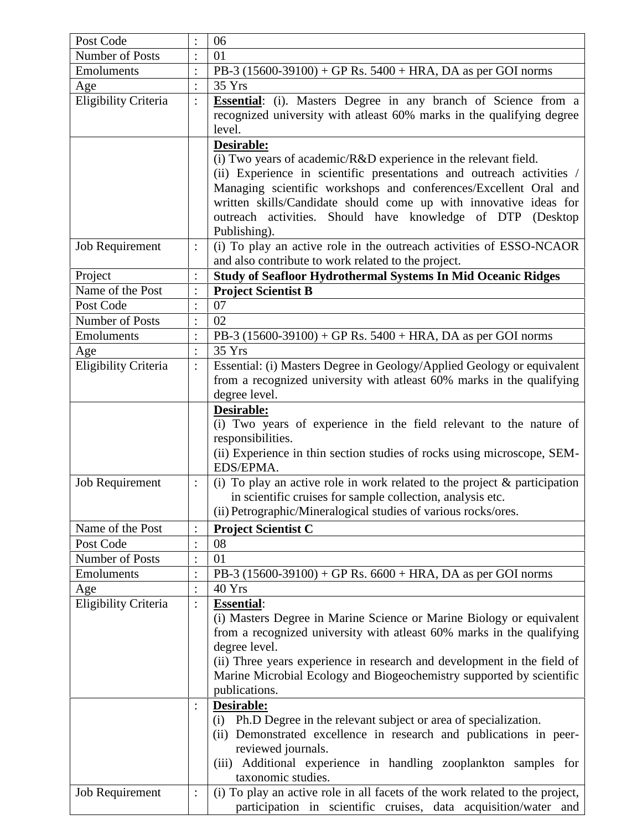| Post Code              |                | 06                                                                                                                                                                                                  |
|------------------------|----------------|-----------------------------------------------------------------------------------------------------------------------------------------------------------------------------------------------------|
| Number of Posts        |                | 01                                                                                                                                                                                                  |
| Emoluments             | $\vdots$       | PB-3 $(15600-39100) + GP$ Rs. $5400 + HRA$ , DA as per GOI norms                                                                                                                                    |
| Age                    | $\colon$       | 35 Yrs                                                                                                                                                                                              |
| Eligibility Criteria   | $\vdots$       | <b>Essential:</b> (i). Masters Degree in any branch of Science from a<br>recognized university with at least 60% marks in the qualifying degree<br>level.                                           |
|                        |                | Desirable:<br>(i) Two years of academic/ $R&D$ experience in the relevant field.                                                                                                                    |
|                        |                | (ii) Experience in scientific presentations and outreach activities /                                                                                                                               |
|                        |                | Managing scientific workshops and conferences/Excellent Oral and<br>written skills/Candidate should come up with innovative ideas for<br>outreach activities. Should have knowledge of DTP (Desktop |
|                        |                | Publishing).                                                                                                                                                                                        |
| Job Requirement        | $\vdots$       | (i) To play an active role in the outreach activities of ESSO-NCAOR<br>and also contribute to work related to the project.                                                                          |
| Project                | $\ddot{\cdot}$ | <b>Study of Seafloor Hydrothermal Systems In Mid Oceanic Ridges</b>                                                                                                                                 |
| Name of the Post       | $\ddot{\cdot}$ | <b>Project Scientist B</b>                                                                                                                                                                          |
| Post Code              | $\ddot{\cdot}$ | 07                                                                                                                                                                                                  |
| Number of Posts        | $\ddot{\cdot}$ | 02                                                                                                                                                                                                  |
| Emoluments             | $\colon$       | PB-3 $(15600-39100) + GP$ Rs. $5400 + HRA$ , DA as per GOI norms                                                                                                                                    |
| Age                    | $\ddot{\cdot}$ | 35 Yrs                                                                                                                                                                                              |
| Eligibility Criteria   | $\vdots$       | Essential: (i) Masters Degree in Geology/Applied Geology or equivalent                                                                                                                              |
|                        |                | from a recognized university with at least 60% marks in the qualifying                                                                                                                              |
|                        |                | degree level.                                                                                                                                                                                       |
|                        |                | Desirable:                                                                                                                                                                                          |
|                        |                | (i) Two years of experience in the field relevant to the nature of                                                                                                                                  |
|                        |                | responsibilities.                                                                                                                                                                                   |
|                        |                | (ii) Experience in thin section studies of rocks using microscope, SEM-                                                                                                                             |
|                        |                | EDS/EPMA.                                                                                                                                                                                           |
| <b>Job Requirement</b> | $\vdots$       | (i) To play an active role in work related to the project $\&$ participation                                                                                                                        |
|                        |                | in scientific cruises for sample collection, analysis etc.                                                                                                                                          |
|                        |                | (ii) Petrographic/Mineralogical studies of various rocks/ores.                                                                                                                                      |
| Name of the Post       |                | <b>Project Scientist C</b>                                                                                                                                                                          |
| Post Code              | $\vdots$       | 08                                                                                                                                                                                                  |
| Number of Posts        | $\ddot{\cdot}$ | 01                                                                                                                                                                                                  |
| Emoluments             | $\ddot{\cdot}$ | PB-3 $(15600-39100) + GP$ Rs. $6600 + HRA$ , DA as per GOI norms                                                                                                                                    |
| Age                    | $\colon$       | 40 Yrs                                                                                                                                                                                              |
| Eligibility Criteria   | $\vdots$       | <b>Essential:</b>                                                                                                                                                                                   |
|                        |                | (i) Masters Degree in Marine Science or Marine Biology or equivalent                                                                                                                                |
|                        |                | from a recognized university with at east 60% marks in the qualifying                                                                                                                               |
|                        |                | degree level.                                                                                                                                                                                       |
|                        |                | (ii) Three years experience in research and development in the field of                                                                                                                             |
|                        |                | Marine Microbial Ecology and Biogeochemistry supported by scientific                                                                                                                                |
|                        |                | publications.                                                                                                                                                                                       |
|                        | $\ddot{\cdot}$ | Desirable:                                                                                                                                                                                          |
|                        |                | Ph.D Degree in the relevant subject or area of specialization.<br>(i)                                                                                                                               |
|                        |                | (ii) Demonstrated excellence in research and publications in peer-                                                                                                                                  |
|                        |                | reviewed journals.                                                                                                                                                                                  |
|                        |                | (iii) Additional experience in handling zooplankton samples for                                                                                                                                     |
|                        |                | taxonomic studies.                                                                                                                                                                                  |
| Job Requirement        | $\vdots$       | (i) To play an active role in all facets of the work related to the project,                                                                                                                        |
|                        |                | participation in scientific cruises, data acquisition/water and                                                                                                                                     |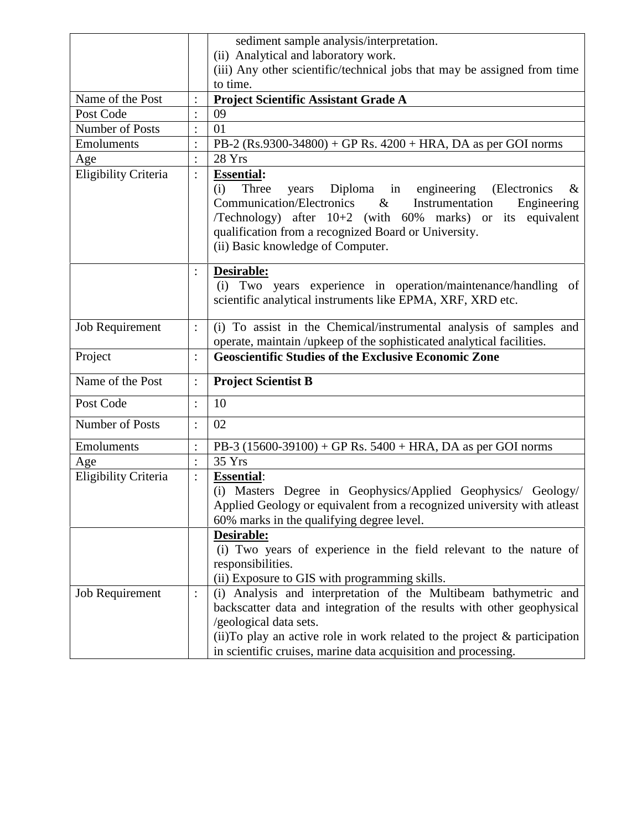|                      |                | sediment sample analysis/interpretation.                                                                                                                                                                                                                                                                                               |
|----------------------|----------------|----------------------------------------------------------------------------------------------------------------------------------------------------------------------------------------------------------------------------------------------------------------------------------------------------------------------------------------|
|                      |                | (ii) Analytical and laboratory work.                                                                                                                                                                                                                                                                                                   |
|                      |                | (iii) Any other scientific/technical jobs that may be assigned from time<br>to time.                                                                                                                                                                                                                                                   |
| Name of the Post     |                | Project Scientific Assistant Grade A                                                                                                                                                                                                                                                                                                   |
| Post Code            |                | 09                                                                                                                                                                                                                                                                                                                                     |
| Number of Posts      | $\colon$       | 01                                                                                                                                                                                                                                                                                                                                     |
| Emoluments           | $\ddot{\cdot}$ | PB-2 $(Rs.9300-34800) + GP Rs. 4200 + HRA, DA as per GOI norms$                                                                                                                                                                                                                                                                        |
| Age                  | $\colon$       | 28 Yrs                                                                                                                                                                                                                                                                                                                                 |
| Eligibility Criteria | $\colon$       | <b>Essential:</b><br>Three<br>Diploma in engineering<br>(i)<br>years<br>(Electronics)<br>$\&$<br><b>Communication/Electronics</b><br>$\&$<br>Instrumentation<br>Engineering<br>/Technology) after 10+2 (with 60% marks) or its equivalent<br>qualification from a recognized Board or University.<br>(ii) Basic knowledge of Computer. |
|                      |                | Desirable:<br>(i) Two years experience in operation/maintenance/handling of<br>scientific analytical instruments like EPMA, XRF, XRD etc.                                                                                                                                                                                              |
| Job Requirement      | $\ddot{\cdot}$ | (i) To assist in the Chemical/instrumental analysis of samples and<br>operate, maintain /upkeep of the sophisticated analytical facilities.                                                                                                                                                                                            |
| Project              | $\colon$       | <b>Geoscientific Studies of the Exclusive Economic Zone</b>                                                                                                                                                                                                                                                                            |
| Name of the Post     | $\vdots$       | <b>Project Scientist B</b>                                                                                                                                                                                                                                                                                                             |
| Post Code            | $\ddot{\cdot}$ | 10                                                                                                                                                                                                                                                                                                                                     |
| Number of Posts      | $\ddot{\cdot}$ | 02                                                                                                                                                                                                                                                                                                                                     |
| Emoluments           |                | PB-3 $(15600-39100) + GP$ Rs. $5400 + HRA$ , DA as per GOI norms                                                                                                                                                                                                                                                                       |
| Age                  | $\ddot{\cdot}$ | 35 Yrs                                                                                                                                                                                                                                                                                                                                 |
| Eligibility Criteria | $\ddot{\cdot}$ | <b>Essential:</b><br>(i) Masters Degree in Geophysics/Applied Geophysics/ Geology/<br>Applied Geology or equivalent from a recognized university with atleast<br>60% marks in the qualifying degree level.                                                                                                                             |
|                      |                | Desirable:<br>(i) Two years of experience in the field relevant to the nature of<br>responsibilities.<br>(ii) Exposure to GIS with programming skills.                                                                                                                                                                                 |
| Job Requirement      | $\ddot{\cdot}$ | (i) Analysis and interpretation of the Multibeam bathymetric and<br>backscatter data and integration of the results with other geophysical<br>/geological data sets.<br>(ii) To play an active role in work related to the project $\&$ participation<br>in scientific cruises, marine data acquisition and processing.                |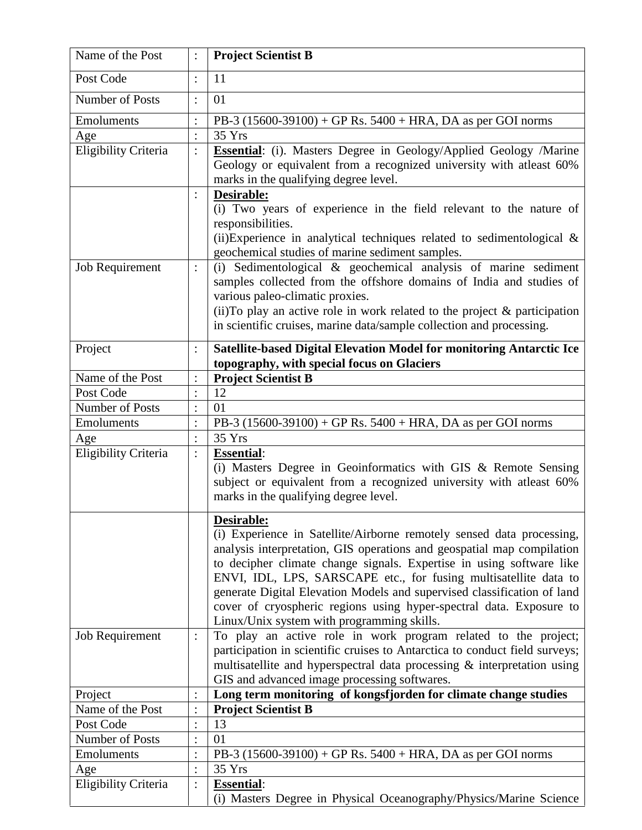| Name of the Post     | $\vdots$                   | <b>Project Scientist B</b>                                                                                                                                                                                                                                                                                                                                                                                                                                                                                       |
|----------------------|----------------------------|------------------------------------------------------------------------------------------------------------------------------------------------------------------------------------------------------------------------------------------------------------------------------------------------------------------------------------------------------------------------------------------------------------------------------------------------------------------------------------------------------------------|
| Post Code            | $\vdots$                   | 11                                                                                                                                                                                                                                                                                                                                                                                                                                                                                                               |
| Number of Posts      | $\vdots$                   | 01                                                                                                                                                                                                                                                                                                                                                                                                                                                                                                               |
| Emoluments           | $\colon$                   | PB-3 $(15600-39100) + GP$ Rs. $5400 + HRA$ , DA as per GOI norms                                                                                                                                                                                                                                                                                                                                                                                                                                                 |
| Age                  | $\vdots$                   | 35 Yrs                                                                                                                                                                                                                                                                                                                                                                                                                                                                                                           |
| Eligibility Criteria | $\ddot{\cdot}$<br>$\vdots$ | <b>Essential:</b> (i). Masters Degree in Geology/Applied Geology /Marine<br>Geology or equivalent from a recognized university with atleast 60%<br>marks in the qualifying degree level.<br>Desirable:<br>(i) Two years of experience in the field relevant to the nature of<br>responsibilities.<br>(ii) Experience in analytical techniques related to sedimentological $\&$<br>geochemical studies of marine sediment samples.                                                                                |
| Job Requirement      | $\vdots$                   | (i) Sedimentological $\&$ geochemical analysis of marine sediment<br>samples collected from the offshore domains of India and studies of<br>various paleo-climatic proxies.<br>(ii) To play an active role in work related to the project $\&$ participation<br>in scientific cruises, marine data/sample collection and processing.                                                                                                                                                                             |
| Project              |                            | Satellite-based Digital Elevation Model for monitoring Antarctic Ice<br>topography, with special focus on Glaciers                                                                                                                                                                                                                                                                                                                                                                                               |
| Name of the Post     | $\vdots$                   | <b>Project Scientist B</b>                                                                                                                                                                                                                                                                                                                                                                                                                                                                                       |
| Post Code            | $\colon$                   | 12                                                                                                                                                                                                                                                                                                                                                                                                                                                                                                               |
| Number of Posts      | $\ddot{\cdot}$             | 01                                                                                                                                                                                                                                                                                                                                                                                                                                                                                                               |
| Emoluments           | $\ddot{\cdot}$             | PB-3 $(15600-39100) + GP$ Rs. $5400 + HRA$ , DA as per GOI norms                                                                                                                                                                                                                                                                                                                                                                                                                                                 |
| Age                  | $\ddot{\cdot}$             | 35 Yrs                                                                                                                                                                                                                                                                                                                                                                                                                                                                                                           |
| Eligibility Criteria | $\vdots$                   | <b>Essential:</b><br>(i) Masters Degree in Geoinformatics with GIS & Remote Sensing<br>subject or equivalent from a recognized university with atleast 60%<br>marks in the qualifying degree level.<br>Desirable:<br>(i) Experience in Satellite/Airborne remotely sensed data processing,<br>analysis interpretation, GIS operations and geospatial map compilation<br>to decipher climate change signals. Expertise in using software like<br>ENVI, IDL, LPS, SARSCAPE etc., for fusing multisatellite data to |
| Job Requirement      | :                          | generate Digital Elevation Models and supervised classification of land<br>cover of cryospheric regions using hyper-spectral data. Exposure to<br>Linux/Unix system with programming skills.<br>To play an active role in work program related to the project;                                                                                                                                                                                                                                                   |
|                      |                            | participation in scientific cruises to Antarctica to conduct field surveys;<br>multisatellite and hyperspectral data processing & interpretation using<br>GIS and advanced image processing softwares.                                                                                                                                                                                                                                                                                                           |
| Project              | $\ddot{\cdot}$             | Long term monitoring of kongsfjorden for climate change studies                                                                                                                                                                                                                                                                                                                                                                                                                                                  |
| Name of the Post     | $\colon$                   | <b>Project Scientist B</b>                                                                                                                                                                                                                                                                                                                                                                                                                                                                                       |
| Post Code            | $\ddot{\cdot}$             | 13                                                                                                                                                                                                                                                                                                                                                                                                                                                                                                               |
| Number of Posts      | $\ddot{\cdot}$             | 01                                                                                                                                                                                                                                                                                                                                                                                                                                                                                                               |
| Emoluments           |                            | PB-3 $(15600-39100) + GP$ Rs. $5400 + HRA$ , DA as per GOI norms                                                                                                                                                                                                                                                                                                                                                                                                                                                 |
| Age                  | $\ddot{\cdot}$             | 35 Yrs                                                                                                                                                                                                                                                                                                                                                                                                                                                                                                           |
| Eligibility Criteria | $\vdots$                   | <b>Essential:</b><br>(i) Masters Degree in Physical Oceanography/Physics/Marine Science                                                                                                                                                                                                                                                                                                                                                                                                                          |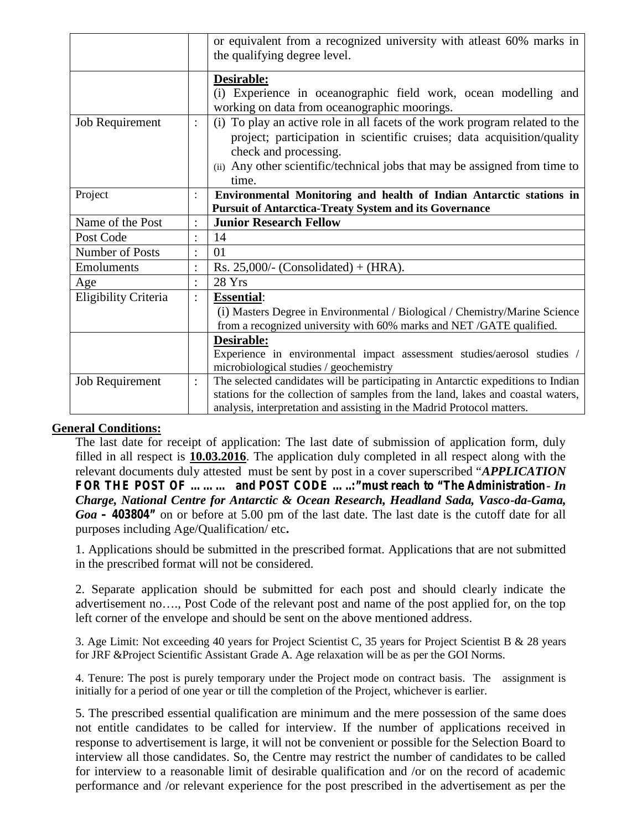|                      |                                   | or equivalent from a recognized university with at least 60% marks in<br>the qualifying degree level.                                                                                                                                                                    |
|----------------------|-----------------------------------|--------------------------------------------------------------------------------------------------------------------------------------------------------------------------------------------------------------------------------------------------------------------------|
|                      |                                   | Desirable:<br>(i) Experience in oceanographic field work, ocean modelling and<br>working on data from oceanographic moorings.                                                                                                                                            |
| Job Requirement      | $\vdots$                          | To play an active role in all facets of the work program related to the<br>(i)<br>project; participation in scientific cruises; data acquisition/quality<br>check and processing.<br>(ii) Any other scientific/technical jobs that may be assigned from time to<br>time. |
| Project              |                                   | Environmental Monitoring and health of Indian Antarctic stations in<br><b>Pursuit of Antarctica-Treaty System and its Governance</b>                                                                                                                                     |
| Name of the Post     | $\ddot{\cdot}$                    | <b>Junior Research Fellow</b>                                                                                                                                                                                                                                            |
| Post Code            | $\bullet$                         | 14                                                                                                                                                                                                                                                                       |
| Number of Posts      | $\bullet$                         | 01                                                                                                                                                                                                                                                                       |
| Emoluments           | $\bullet$<br>$\ddot{\phantom{0}}$ | Rs. 25,000/- (Consolidated) + (HRA).                                                                                                                                                                                                                                     |
| Age                  | $\bullet$                         | 28 Yrs                                                                                                                                                                                                                                                                   |
| Eligibility Criteria | $\ddot{\cdot}$                    | <b>Essential:</b><br>(i) Masters Degree in Environmental / Biological / Chemistry/Marine Science<br>from a recognized university with 60% marks and NET /GATE qualified.                                                                                                 |
|                      |                                   | Desirable:<br>Experience in environmental impact assessment studies/aerosol studies /<br>microbiological studies / geochemistry                                                                                                                                          |
| Job Requirement      | :                                 | The selected candidates will be participating in Antarctic expeditions to Indian<br>stations for the collection of samples from the land, lakes and coastal waters,<br>analysis, interpretation and assisting in the Madrid Protocol matters.                            |

# **General Conditions:**

The last date for receipt of application: The last date of submission of application form, duly filled in all respect is **10.03.2016**. The application duly completed in all respect along with the relevant documents duly attested must be sent by post in a cover superscribed "*APPLICATION FOR THE POST OF ……… and POST CODE …..:"must reach to "The Administration- In Charge, National Centre for Antarctic & Ocean Research, Headland Sada, Vasco-da-Gama, Goa – 403804"* on or before at 5.00 pm of the last date. The last date is the cutoff date for all purposes including Age/Qualification/ etc**.**

1. Applications should be submitted in the prescribed format. Applications that are not submitted in the prescribed format will not be considered.

2. Separate application should be submitted for each post and should clearly indicate the advertisement no…., Post Code of the relevant post and name of the post applied for, on the top left corner of the envelope and should be sent on the above mentioned address.

3. Age Limit: Not exceeding 40 years for Project Scientist C, 35 years for Project Scientist B & 28 years for JRF &Project Scientific Assistant Grade A. Age relaxation will be as per the GOI Norms.

4. Tenure: The post is purely temporary under the Project mode on contract basis. The assignment is initially for a period of one year or till the completion of the Project, whichever is earlier.

5. The prescribed essential qualification are minimum and the mere possession of the same does not entitle candidates to be called for interview. If the number of applications received in response to advertisement is large, it will not be convenient or possible for the Selection Board to interview all those candidates. So, the Centre may restrict the number of candidates to be called for interview to a reasonable limit of desirable qualification and /or on the record of academic performance and /or relevant experience for the post prescribed in the advertisement as per the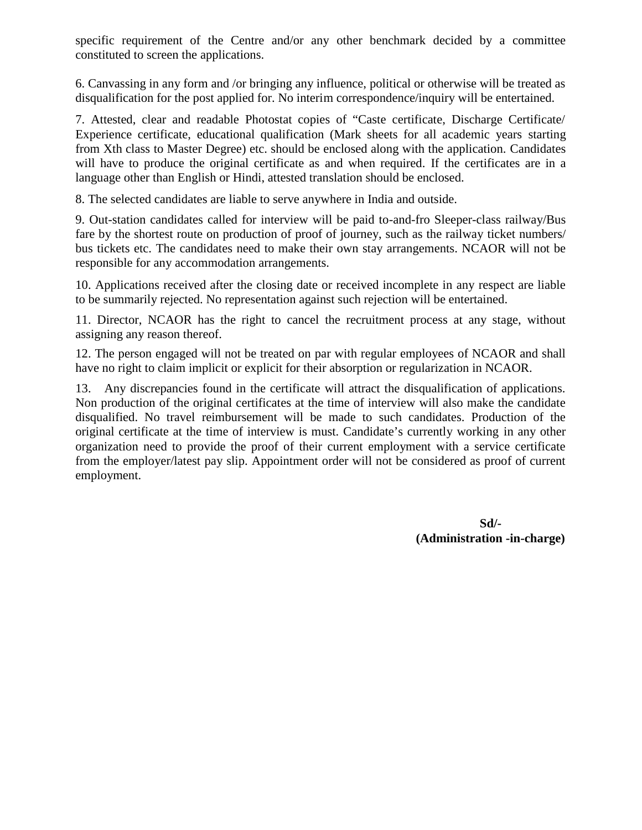specific requirement of the Centre and/or any other benchmark decided by a committee constituted to screen the applications.

6. Canvassing in any form and /or bringing any influence, political or otherwise will be treated as disqualification for the post applied for. No interim correspondence/inquiry will be entertained.

7. Attested, clear and readable Photostat copies of "Caste certificate, Discharge Certificate/ Experience certificate, educational qualification (Mark sheets for all academic years starting from Xth class to Master Degree) etc. should be enclosed along with the application. Candidates will have to produce the original certificate as and when required. If the certificates are in a language other than English or Hindi, attested translation should be enclosed.

8. The selected candidates are liable to serve anywhere in India and outside.

9. Out-station candidates called for interview will be paid to-and-fro Sleeper-class railway/Bus fare by the shortest route on production of proof of journey, such as the railway ticket numbers/ bus tickets etc. The candidates need to make their own stay arrangements. NCAOR will not be responsible for any accommodation arrangements.

10. Applications received after the closing date or received incomplete in any respect are liable to be summarily rejected. No representation against such rejection will be entertained.

11. Director, NCAOR has the right to cancel the recruitment process at any stage, without assigning any reason thereof.

12. The person engaged will not be treated on par with regular employees of NCAOR and shall have no right to claim implicit or explicit for their absorption or regularization in NCAOR.

13. Any discrepancies found in the certificate will attract the disqualification of applications. Non production of the original certificates at the time of interview will also make the candidate disqualified. No travel reimbursement will be made to such candidates. Production of the original certificate at the time of interview is must. Candidate's currently working in any other organization need to provide the proof of their current employment with a service certificate from the employer/latest pay slip. Appointment order will not be considered as proof of current employment.

> **Sd/- (Administration -in-charge)**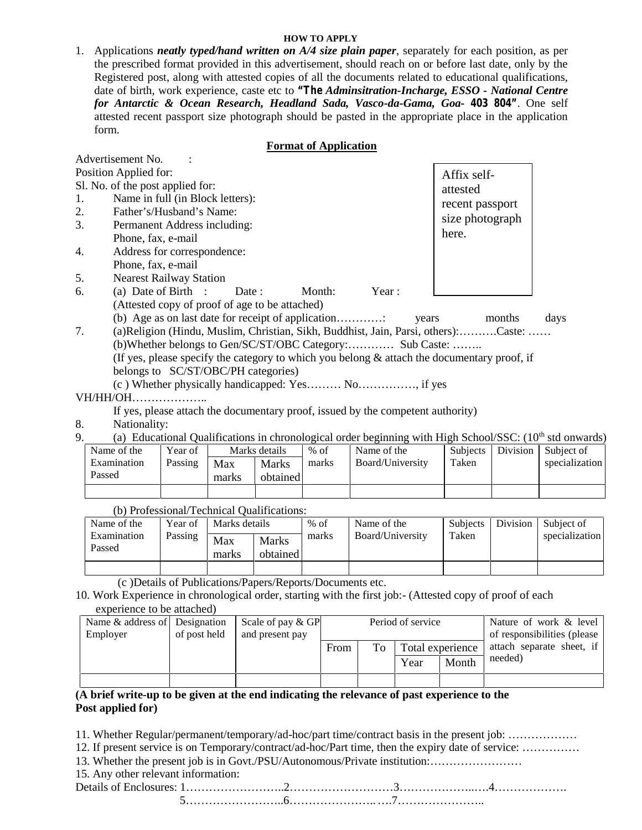### **HOW TO APPLY**

1. Applications *neatly typed/hand written on A/4 size plain paper*, separately for each position, as per the prescribed format provided in this advertisement, should reach on or before last date, only by the Registered post, along with attested copies of all the documents related to educational qualifications, date of birth, work experience, caste etc to *"The Adminsitration-Incharge, ESSO - National Centre for Antarctic & Ocean Research, Headland Sada, Vasco-da-Gama, Goa- 403 804"*. One self attested recent passport size photograph should be pasted in the appropriate place in the application form.

## **Format of Application**

|           | Advertisement No.                                                                              |                 |      |
|-----------|------------------------------------------------------------------------------------------------|-----------------|------|
|           | Position Applied for:                                                                          | Affix self-     |      |
|           | Sl. No. of the post applied for:                                                               | attested        |      |
| 1.        | Name in full (in Block letters):                                                               | recent passport |      |
| 2.        | Father's/Husband's Name:                                                                       | size photograph |      |
| 3.        | Permanent Address including:                                                                   |                 |      |
|           | Phone, fax, e-mail                                                                             | here.           |      |
| 4.        | Address for correspondence:                                                                    |                 |      |
|           | Phone, fax, e-mail                                                                             |                 |      |
| 5.        | <b>Nearest Railway Station</b>                                                                 |                 |      |
| 6.        | (a) Date of Birth :<br>Month:<br>Year:<br>Date:                                                |                 |      |
|           | (Attested copy of proof of age to be attached)                                                 |                 |      |
|           | (b) Age as on last date for receipt of application<br>years                                    | months          | days |
| 7.        | (a) Religion (Hindu, Muslim, Christian, Sikh, Buddhist, Jain, Parsi, others):Caste:            |                 |      |
|           | (b)Whether belongs to Gen/SC/ST/OBC Category: Sub Caste:                                       |                 |      |
|           | (If yes, please specify the category to which you belong $\&$ attach the documentary proof, if |                 |      |
|           | belongs to SC/ST/OBC/PH categories)                                                            |                 |      |
|           |                                                                                                |                 |      |
| VH/HH/OH. | .                                                                                              |                 |      |

- If yes, please attach the documentary proof, issued by the competent authority)
- 8. Nationality:
- 9. (a) Educational Qualifications in chronological order beginning with High School/SSC:  $(10<sup>th</sup>$  std onwards)

| Name of the | Year of |       | Marks details | $%$ of | Name of the      | <b>Subjects</b> | Division | Subject of     |
|-------------|---------|-------|---------------|--------|------------------|-----------------|----------|----------------|
| Examination | Passing | Max   | <b>Marks</b>  | marks  | Board/University | Taken           |          | specialization |
| Passed      |         | marks | obtained      |        |                  |                 |          |                |
|             |         |       |               |        |                  |                 |          |                |

| $\mathcal{O}_I$ . The contracted $\mathcal{O}_I$ is contributed by $\mathcal{O}_I$ |         |               |                          |        |                  |                 |          |                |
|------------------------------------------------------------------------------------|---------|---------------|--------------------------|--------|------------------|-----------------|----------|----------------|
| Name of the                                                                        | Year of | Marks details |                          | $%$ of | Name of the      | <b>Subjects</b> | Division | Subject of     |
| Examination<br>Passed                                                              | Passing | Max<br>marks  | <b>Marks</b><br>obtained | marks  | Board/University | Taken           |          | specialization |
|                                                                                    |         |               |                          |        |                  |                 |          |                |

(b) Professional/Technical Qualifications:

(c )Details of Publications/Papers/Reports/Documents etc.

10. Work Experience in chronological order, starting with the first job:- (Attested copy of proof of each experience to be attached)

| Name & address of Designation<br>Employer | of post held | Scale of pay $&$ GP<br>and present pay | Period of service |    |      | Nature of work & level<br>of responsibilities (please |                                      |
|-------------------------------------------|--------------|----------------------------------------|-------------------|----|------|-------------------------------------------------------|--------------------------------------|
|                                           |              |                                        | From              | To | Year | Total experience<br>Month                             | attach separate sheet, if<br>needed) |
|                                           |              |                                        |                   |    |      |                                                       |                                      |

# **(A brief write-up to be given at the end indicating the relevance of past experience to the Post applied for)**

11. Whether Regular/permanent/temporary/ad-hoc/part time/contract basis in the present job: ………………

12. If present service is on Temporary/contract/ad-hoc/Part time, then the expiry date of service: ……………

13. Whether the present job is in Govt./PSU/Autonomous/Private institution:……………………

15. Any other relevant information:

Details of Enclosures: 1……………………..2………………………3………………..….4………………. 5……………………..6…………………..….7…………………..